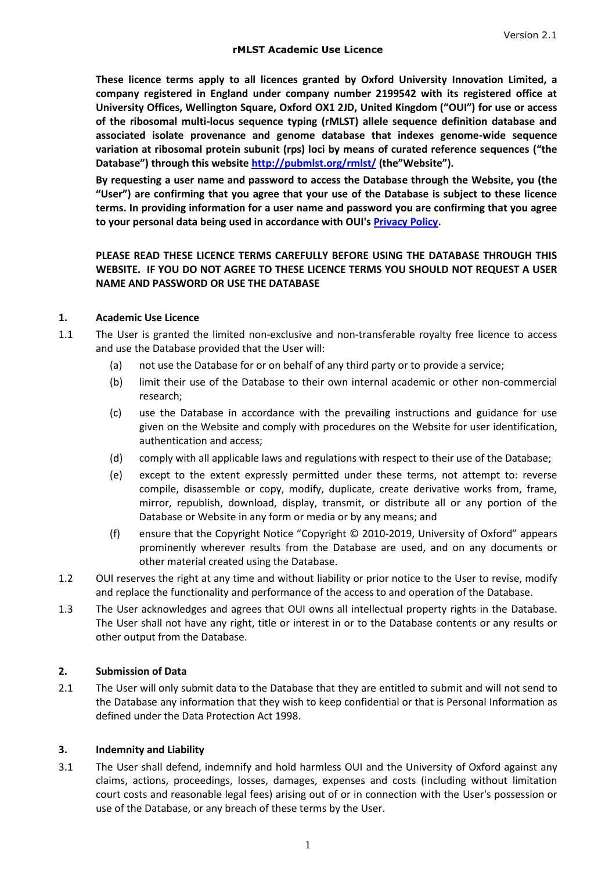**These licence terms apply to all licences granted by Oxford University Innovation Limited, a company registered in England under company number 2199542 with its registered office at University Offices, Wellington Square, Oxford OX1 2JD, United Kingdom ("OUI") for use or access of the ribosomal multi-locus sequence typing (rMLST) allele sequence definition database and associated isolate provenance and genome database that indexes genome-wide sequence variation at ribosomal protein subunit (rps) loci by means of curated reference sequences ("the Database") through this website <http://pubmlst.org/rmlst/> (the"Website").** 

**By requesting a user name and password to access the Database through the Website, you (the "User") are confirming that you agree that your use of the Database is subject to these licence terms. In providing information for a user name and password you are confirming that you agree to your personal data being used in accordance with OUI's [Privacy Policy.](http://isis-innovation.com/privacy-policy/)**

## **PLEASE READ THESE LICENCE TERMS CAREFULLY BEFORE USING THE DATABASE THROUGH THIS WEBSITE. IF YOU DO NOT AGREE TO THESE LICENCE TERMS YOU SHOULD NOT REQUEST A USER NAME AND PASSWORD OR USE THE DATABASE**

### **1. Academic Use Licence**

- 1.1 The User is granted the limited non-exclusive and non-transferable royalty free licence to access and use the Database provided that the User will:
	- (a) not use the Database for or on behalf of any third party or to provide a service;
	- (b) limit their use of the Database to their own internal academic or other non-commercial research;
	- (c) use the Database in accordance with the prevailing instructions and guidance for use given on the Website and comply with procedures on the Website for user identification, authentication and access;
	- (d) comply with all applicable laws and regulations with respect to their use of the Database;
	- (e) except to the extent expressly permitted under these terms, not attempt to: reverse compile, disassemble or copy, modify, duplicate, create derivative works from, frame, mirror, republish, download, display, transmit, or distribute all or any portion of the Database or Website in any form or media or by any means; and
	- (f) ensure that the Copyright Notice "Copyright © 2010-2019, University of Oxford" appears prominently wherever results from the Database are used, and on any documents or other material created using the Database.
- 1.2 OUI reserves the right at any time and without liability or prior notice to the User to revise, modify and replace the functionality and performance of the access to and operation of the Database.
- 1.3 The User acknowledges and agrees that OUI owns all intellectual property rights in the Database. The User shall not have any right, title or interest in or to the Database contents or any results or other output from the Database.

#### **2. Submission of Data**

2.1 The User will only submit data to the Database that they are entitled to submit and will not send to the Database any information that they wish to keep confidential or that is Personal Information as defined under the Data Protection Act 1998.

#### **3. Indemnity and Liability**

3.1 The User shall defend, indemnify and hold harmless OUI and the University of Oxford against any claims, actions, proceedings, losses, damages, expenses and costs (including without limitation court costs and reasonable legal fees) arising out of or in connection with the User's possession or use of the Database, or any breach of these terms by the User.